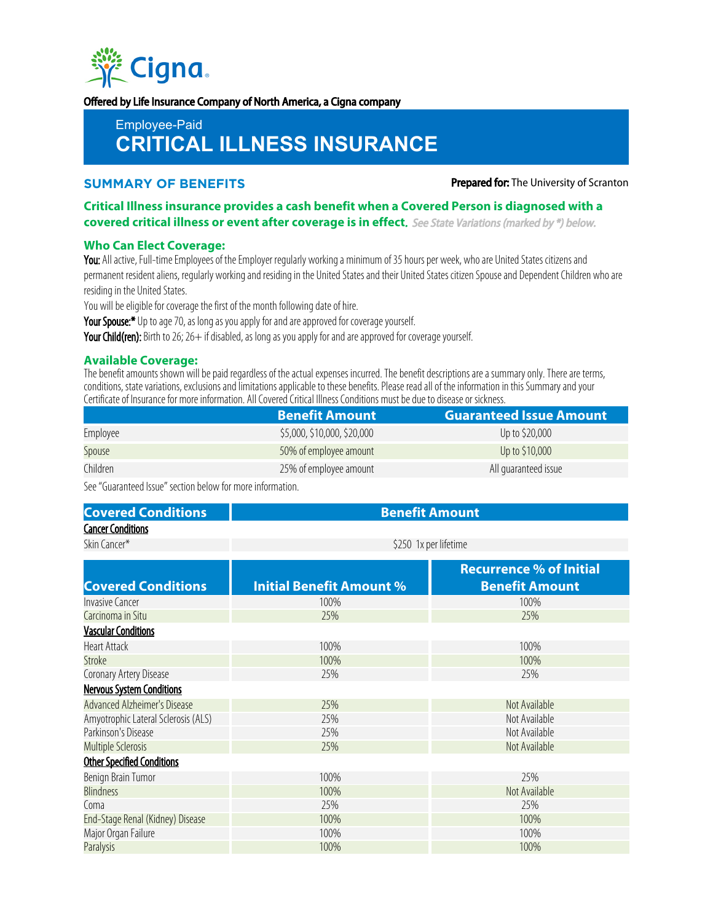

Offered by Life Insurance Company of North America, a Cigna company

Employee-Paid

# **CRITICAL ILLNESS INSURANCE**

**SUMMARY OF BENEFITS Prepared for:** The University of Scranton

**Critical Illness insurance provides a cash benefit when a Covered Person is diagnosed with a covered critical illness or event after coverage is in effect**. See State Variations (marked by \*) below.

#### **Who Can Elect Coverage:**

You: All active, Full-time Employees of the Employer regularly working a minimum of 35 hours per week, who are United States citizens and permanent resident aliens, regularly working and residing in the United States and their United States citizen Spouse and Dependent Children who are residing in the United States.

You will be eligible for coverage the first of the month following date of hire.

Your Spouse:\* Up to age 70, as long as you apply for and are approved for coverage yourself.

Your Child(ren): Birth to 26; 26+ if disabled, as long as you apply for and are approved for coverage yourself.

#### **Available Coverage:**

The benefit amounts shown will be paid regardless of the actual expenses incurred. The benefit descriptions are a summary only. There are terms, conditions, state variations, exclusions and limitations applicable to these benefits. Please read all of the information in this Summary and your Certificate of Insurance for more information. All Covered Critical Illness Conditions must be due to disease or sickness.

|          | <b>Benefit Amount</b>       | <b>Guaranteed Issue Amount</b> |
|----------|-----------------------------|--------------------------------|
| Employee | \$5,000, \$10,000, \$20,000 | Up to \$20,000                 |
| Spouse   | 50% of employee amount      | Up to \$10,000                 |
| Children | 25% of employee amount      | All quaranteed issue           |

See "Guaranteed Issue" section below for more information.

### **Covered Conditions Benefit Amount** Cancer Conditions

Skin Cancer\* **\$250** 1x per lifetime

|                                     |                                 | <b>Recurrence % of Initial</b> |
|-------------------------------------|---------------------------------|--------------------------------|
| <b>Covered Conditions</b>           | <b>Initial Benefit Amount %</b> | <b>Benefit Amount</b>          |
| Invasive Cancer                     | 100%                            | 100%                           |
| Carcinoma in Situ                   | 25%                             | 25%                            |
| <b>Vascular Conditions</b>          |                                 |                                |
| <b>Heart Attack</b>                 | 100%                            | 100%                           |
| Stroke                              | 100%                            | 100%                           |
| Coronary Artery Disease             | 25%                             | 25%                            |
| <b>Nervous System Conditions</b>    |                                 |                                |
| Advanced Alzheimer's Disease        | 25%                             | Not Available                  |
| Amyotrophic Lateral Sclerosis (ALS) | 25%                             | Not Available                  |
| Parkinson's Disease                 | 25%                             | Not Available                  |
| <b>Multiple Sclerosis</b>           | 25%                             | Not Available                  |
| <b>Other Specified Conditions</b>   |                                 |                                |
| Benign Brain Tumor                  | 100%                            | 25%                            |
| <b>Blindness</b>                    | 100%                            | Not Available                  |
| Coma                                | 25%                             | 25%                            |
| End-Stage Renal (Kidney) Disease    | 100%                            | 100%                           |
| Major Organ Failure                 | 100%                            | 100%                           |
| Paralysis                           | 100%                            | 100%                           |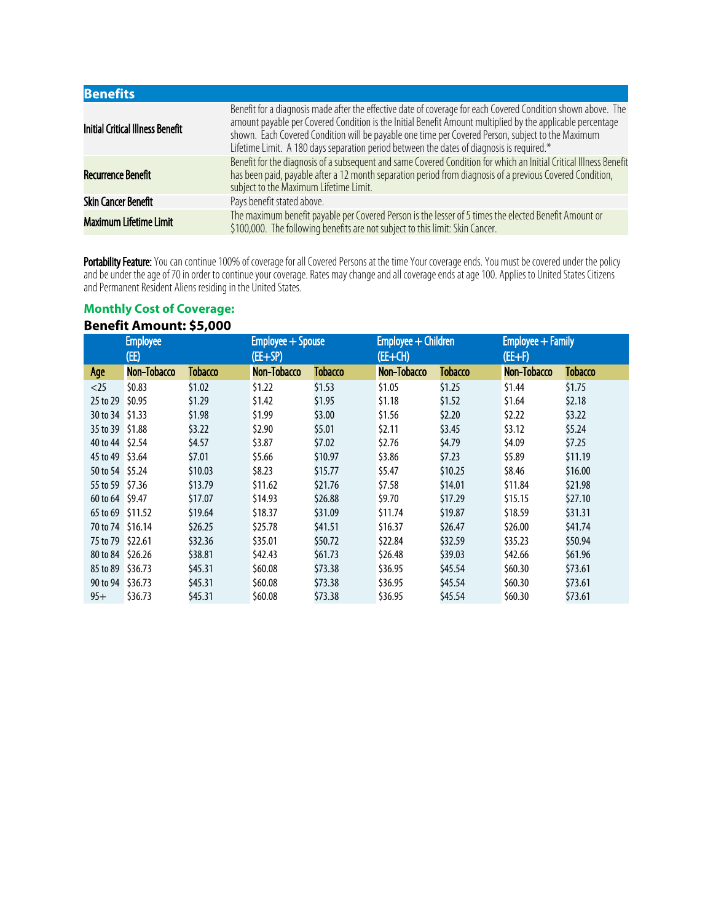| <b>Benefits</b>                         |                                                                                                                                                                                                                                                                                                                                                                                                                               |
|-----------------------------------------|-------------------------------------------------------------------------------------------------------------------------------------------------------------------------------------------------------------------------------------------------------------------------------------------------------------------------------------------------------------------------------------------------------------------------------|
| <b>Initial Critical Illness Benefit</b> | Benefit for a diagnosis made after the effective date of coverage for each Covered Condition shown above. The<br>amount payable per Covered Condition is the Initial Benefit Amount multiplied by the applicable percentage<br>shown. Each Covered Condition will be payable one time per Covered Person, subject to the Maximum<br>Lifetime Limit. A 180 days separation period between the dates of diagnosis is required.* |
| Recurrence Benefit                      | Benefit for the diagnosis of a subsequent and same Covered Condition for which an Initial Critical Illness Benefit<br>has been paid, payable after a 12 month separation period from diagnosis of a previous Covered Condition,<br>subject to the Maximum Lifetime Limit.                                                                                                                                                     |
| <b>Skin Cancer Benefit</b>              | Pays benefit stated above.                                                                                                                                                                                                                                                                                                                                                                                                    |
| <b>Maximum Lifetime Limit</b>           | The maximum benefit payable per Covered Person is the lesser of 5 times the elected Benefit Amount or<br>\$100,000. The following benefits are not subject to this limit: Skin Cancer.                                                                                                                                                                                                                                        |

**Portability Feature:** You can continue 100% of coverage for all Covered Persons at the time Your coverage ends. You must be covered under the policy and be under the age of 70 in order to continue your coverage. Rates may change and all coverage ends at age 100. Applies to United States Citizens and Permanent Resident Aliens residing in the United States.

## **Monthly Cost of Coverage: Benefit Amount: \$5,000**

|                  | <b>Employee</b><br>(EE) |                | Employee + Spouse<br>(EE+SP) |                | Employee + Children<br>$(EE+CH)$ |                | Employee + Family<br>$(EE+F)$ |                |
|------------------|-------------------------|----------------|------------------------------|----------------|----------------------------------|----------------|-------------------------------|----------------|
| Age              | Non-Tobacco             | <b>Tobacco</b> | Non-Tobacco                  | <b>Tobacco</b> | Non-Tobacco                      | <b>Tobacco</b> | Non-Tobacco                   | <b>Tobacco</b> |
| $<$ 25           | \$0.83                  | \$1.02         | \$1.22                       | \$1.53         | \$1.05                           | \$1.25         | \$1.44                        | \$1.75         |
| 25 to 29         | \$0.95                  | \$1.29         | \$1.42                       | \$1.95         | \$1.18                           | \$1.52         | \$1.64                        | \$2.18         |
| 30 to 34 \$1.33  |                         | \$1.98         | \$1.99                       | \$3.00         | \$1.56                           | \$2.20         | \$2.22                        | \$3.22         |
| 35 to 39 \$1.88  |                         | \$3.22         | \$2.90                       | \$5.01         | \$2.11                           | \$3.45         | \$3.12                        | \$5.24         |
| 40 to 44 \$2.54  |                         | \$4.57         | \$3.87                       | \$7.02         | \$2.76                           | \$4.79         | \$4.09                        | \$7.25         |
| 45 to 49 \$3.64  |                         | \$7.01         | \$5.66                       | \$10.97        | \$3.86                           | \$7.23         | \$5.89                        | \$11.19        |
| 50 to 54 \$5.24  |                         | \$10.03        | \$8.23                       | \$15.77        | \$5.47                           | \$10.25        | \$8.46                        | \$16.00        |
| 55 to 59 \$7.36  |                         | \$13.79        | \$11.62                      | \$21.76        | \$7.58                           | \$14.01        | \$11.84                       | \$21.98        |
| 60 to 64 \$9.47  |                         | \$17.07        | \$14.93                      | \$26.88        | \$9.70                           | \$17.29        | \$15.15                       | \$27.10        |
| 65 to 69 \$11.52 |                         | \$19.64        | \$18.37                      | \$31.09        | \$11.74                          | \$19.87        | \$18.59                       | \$31.31        |
| 70 to 74 \$16.14 |                         | \$26.25        | \$25.78                      | \$41.51        | \$16.37                          | \$26.47        | \$26.00                       | \$41.74        |
| 75 to 79 \$22.61 |                         | \$32.36        | \$35.01                      | \$50.72        | \$22.84                          | \$32.59        | \$35.23                       | \$50.94        |
| 80 to 84 \$26.26 |                         | \$38.81        | \$42.43                      | \$61.73        | \$26.48                          | \$39.03        | \$42.66                       | \$61.96        |
| 85 to 89         | \$36.73                 | \$45.31        | \$60.08                      | \$73.38        | \$36.95                          | \$45.54        | \$60.30\$                     | \$73.61        |
| 90 to 94         | \$36.73                 | \$45.31        | \$60.08                      | \$73.38        | \$36.95                          | \$45.54        | \$60.30\$                     | \$73.61        |
| $95+$            | \$36.73                 | \$45.31        | \$60.08                      | \$73.38        | \$36.95                          | \$45.54        | \$60.30                       | \$73.61        |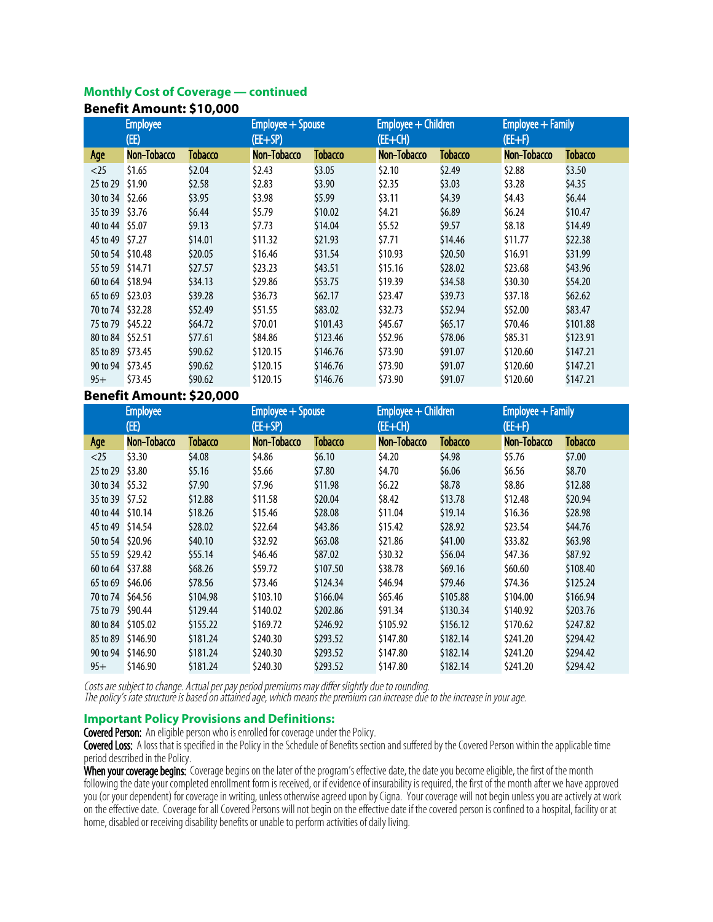#### **Monthly Cost of Coverage — continued Benefit Amount: \$10,000**

| DCIICII\ MIIIVAII\, 9 I V/VVV |                 |                |                   |                |                     |                |                   |          |  |
|-------------------------------|-----------------|----------------|-------------------|----------------|---------------------|----------------|-------------------|----------|--|
|                               | <b>Employee</b> |                | Employee + Spouse |                | Employee + Children |                | Employee + Family |          |  |
|                               | (EE)            |                | $(EE+SP)$         |                | $(EE+CH)$           |                | $(EE+F)$          |          |  |
| Age                           | Non-Tobacco     | <b>Tobacco</b> | Non-Tobacco       | <b>Tobacco</b> | Non-Tobacco         | <b>Tobacco</b> | Non-Tobacco       | Tobacco  |  |
| $<$ 25                        | \$1.65          | \$2.04         | \$2.43            | \$3.05         | \$2.10              | \$2.49         | \$2.88            | \$3.50   |  |
| 25 to 29                      | \$1.90          | \$2.58         | \$2.83            | \$3.90         | \$2.35              | \$3.03         | \$3.28            | \$4.35   |  |
| 30 to 34 \$2.66               |                 | \$3.95         | \$3.98            | \$5.99         | 53.11               | \$4.39         | \$4.43            | \$6.44   |  |
| 35 to 39 \$3.76               |                 | \$6.44         | \$5.79            | \$10.02        | \$4.21              | \$6.89         | \$6.24            | \$10.47  |  |
| 40 to 44 \$5.07               |                 | \$9.13         | \$7.73            | \$14.04        | \$5.52              | \$9.57         | \$8.18            | \$14.49  |  |
| 45 to 49 \$7.27               |                 | \$14.01        | \$11.32           | \$21.93        | \$7.71              | \$14.46        | \$11.77           | \$22.38  |  |
| 50 to 54 \$10.48              |                 | \$20.05        | \$16.46           | \$31.54        | \$10.93             | \$20.50        | \$16.91           | \$31.99  |  |
| 55 to 59 \$14.71              |                 | \$27.57        | \$23.23           | \$43.51        | \$15.16             | \$28.02        | \$23.68           | \$43.96  |  |
| 60 to 64 \$18.94              |                 | \$34.13        | \$29.86           | \$53.75        | \$19.39             | \$34.58        | \$30.30           | \$54.20  |  |
| 65 to 69 \$23.03              |                 | \$39.28        | \$36.73           | \$62.17        | \$23.47             | \$39.73        | \$37.18           | \$62.62  |  |
| 70 to 74 \$32.28              |                 | \$52.49        | \$51.55           | \$83.02        | \$32.73             | \$52.94        | \$52.00           | \$83.47  |  |
| 75 to 79 \$45.22              |                 | \$64.72        | \$70.01           | \$101.43       | \$45.67             | \$65.17        | \$70.46           | \$101.88 |  |
| 80 to 84 \$52.51              |                 | \$77.61        | \$84.86           | \$123.46       | \$52.96             | \$78.06        | \$85.31           | \$123.91 |  |
| 85 to 89 \$73.45              |                 | \$90.62        | \$120.15          | \$146.76       | \$73.90             | \$91.07        | \$120.60          | \$147.21 |  |
| 90 to 94 \$73.45              |                 | \$90.62        | \$120.15          | \$146.76       | \$73.90             | \$91.07        | \$120.60          | \$147.21 |  |
| $95+$                         | \$73.45         | \$90.62        | \$120.15          | \$146.76       | \$73.90             | \$91.07        | \$120.60          | \$147.21 |  |

#### **Benefit Amount: \$20,000**

| <b>Employee</b><br>(EE) |                   | Employee + Spouse<br>$(EE+SP)$ |             | Employee + Children<br>$(EE+CH)$ |             | Employee + Family<br>$(EE+F)$ |             |          |
|-------------------------|-------------------|--------------------------------|-------------|----------------------------------|-------------|-------------------------------|-------------|----------|
| Age                     | Non-Tobacco       | Tobacco                        | Non-Tobacco | Tobacco                          | Non-Tobacco | <b>Tobacco</b>                | Non–Tobacco | Tobacco  |
| $<$ 25                  | \$3.30            | \$4.08                         | \$4.86      | \$6.10                           | \$4.20      | \$4.98                        | \$5.76      | \$7.00   |
| 25 to 29                | \$3.80            | \$5.16                         | \$5.66      | \$7.80                           | \$4.70      | \$6.06                        | \$6.56      | \$8.70   |
| 30 to 34                | \$5.32            | \$7.90                         | \$7.96      | \$11.98                          | \$6.22      | \$8.78                        | \$8.86      | \$12.88  |
| 35 to 39 \$7.52         |                   | \$12.88                        | \$11.58     | \$20.04                          | \$8.42      | \$13.78                       | \$12.48     | \$20.94  |
| 40 to 44 \$10.14        |                   | \$18.26                        | \$15.46     | \$28.08                          | \$11.04     | \$19.14                       | \$16.36     | \$28.98  |
| 45 to 49 \$14.54        |                   | \$28.02                        | \$22.64     | \$43.86                          | \$15.42     | \$28.92                       | \$23.54     | \$44.76  |
| 50 to 54 \$20.96        |                   | \$40.10                        | \$32.92     | \$63.08                          | \$21.86     | \$41.00                       | \$33.82     | \$63.98  |
| 55 to 59 \$29.42        |                   | \$55.14                        | \$46.46     | \$87.02                          | \$30.32     | \$56.04                       | \$47.36     | \$87.92  |
| 60 to 64 \$37.88        |                   | \$68.26                        | \$59.72     | \$107.50                         | \$38.78     | \$69.16                       | \$60.60     | \$108.40 |
| 65 to 69 \$46.06        |                   | \$78.56                        | \$73.46     | \$124.34                         | \$46.94     | \$79.46                       | \$74.36     | \$125.24 |
| 70 to 74 \$64.56        |                   | \$104.98                       | \$103.10    | \$166.04                         | \$65.46     | \$105.88                      | \$104.00    | \$166.94 |
| 75 to 79 \$90.44        |                   | \$129.44                       | \$140.02    | \$202.86                         | \$91.34     | \$130.34                      | \$140.92    | \$203.76 |
|                         | 80 to 84 \$105.02 | \$155.22                       | \$169.72    | \$246.92                         | \$105.92    | \$156.12                      | \$170.62    | \$247.82 |
|                         | 85 to 89 \$146.90 | \$181.24                       | \$240.30    | \$293.52                         | \$147.80    | \$182.14                      | \$241.20    | \$294.42 |
| 90 to 94                | \$146.90          | \$181.24                       | \$240.30    | \$293.52                         | \$147.80    | \$182.14                      | \$241.20    | \$294.42 |
| $95+$                   | \$146.90          | \$181.24                       | \$240.30    | \$293.52                         | \$147.80    | \$182.14                      | \$241.20    | \$294.42 |

Costs are subject to change. Actual per pay period premiums may differ slightly due to rounding. The policy's rate structure is based on attained age, which means the premium can increase due to the increase in your age.

#### **Important Policy Provisions and Definitions:**

Covered Person: An eligible person who is enrolled for coverage under the Policy.

Covered Loss: A loss that is specified in the Policy in the Schedule of Benefits section and suffered by the Covered Person within the applicable time period described in the Policy.

When your coverage begins: Coverage begins on the later of the program's effective date, the date you become eligible, the first of the month following the date your completed enrollment form is received, or if evidence of insurability is required, the first of the month after we have approved you (or your dependent) for coverage in writing, unless otherwise agreed upon by Cigna. Your coverage will not begin unless you are actively at work on the effective date. Coverage for all Covered Persons will not begin on the effective date if the covered person is confined to a hospital, facility or at home, disabled or receiving disability benefits or unable to perform activities of daily living.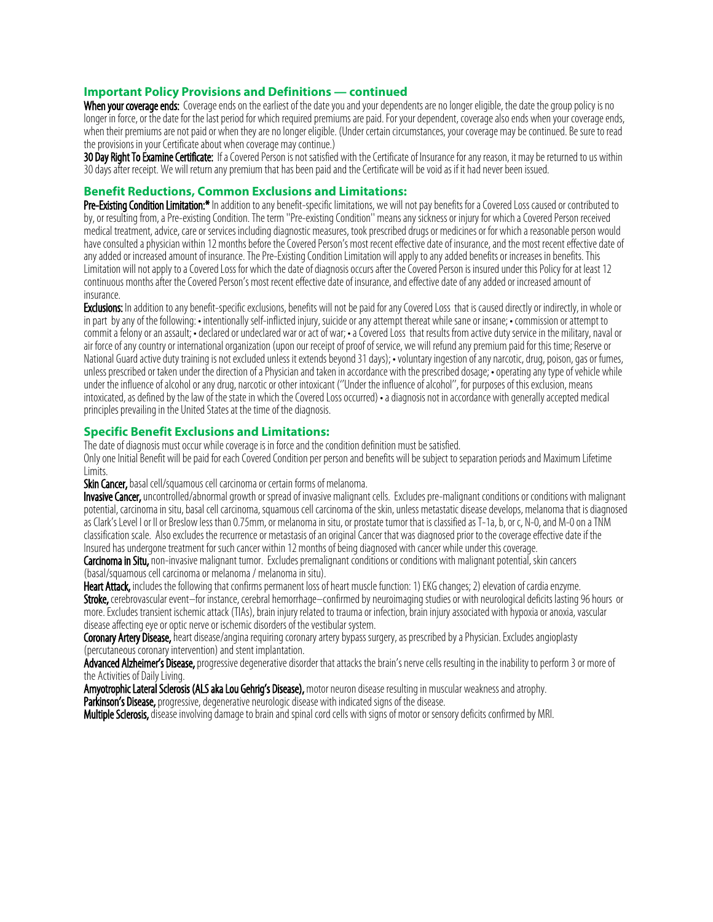#### **Important Policy Provisions and Definitions — continued**

When your coverage ends: Coverage ends on the earliest of the date you and your dependents are no longer eligible, the date the group policy is no longer in force, or the date for the last period for which required premiums are paid. For your dependent, coverage also ends when your coverage ends, when their premiums are not paid or when they are no longer eligible. (Under certain circumstances, your coverage may be continued. Be sure to read the provisions in your Certificate about when coverage may continue.)

30 Day Right To Examine Certificate: If a Covered Person is not satisfied with the Certificate of Insurance for any reason, it may be returned to us within 30 days after receipt. We will return any premium that has been paid and the Certificate will be void as if it had never been issued.

#### **Benefit Reductions, Common Exclusions and Limitations:**

Pre-Existing Condition Limitation:\* In addition to any benefit-specific limitations, we will not pay benefits for a Covered Loss caused or contributed to by, or resulting from, a Pre-existing Condition. The term ''Pre-existing Condition'' means any sickness or injury for which a Covered Person received medical treatment, advice, care or services including diagnostic measures, took prescribed drugs or medicines or for which a reasonable person would have consulted a physician within 12 months before the Covered Person's most recent effective date of insurance, and the most recent effective date of any added or increased amount of insurance. The Pre-Existing Condition Limitation will apply to any added benefits or increases in benefits. This Limitation will not apply to a Covered Loss for which the date of diagnosis occurs after the Covered Person is insured under this Policy for at least 12 continuous months after the Covered Person's most recent effective date of insurance, and effective date of any added or increased amount of insurance.

Exclusions: In addition to any benefit-specific exclusions, benefits will not be paid for any Covered Loss that is caused directly or indirectly, in whole or in part by any of the following: • intentionally self-inflicted injury, suicide or any attempt thereat while sane or insane; • commission or attempt to commit a felony or an assault; •declared or undeclared war or act of war; •a Covered Loss that results from active duty service in the military, naval or air force of any country or international organization (upon our receipt of proof of service, we will refund any premium paid for this time; Reserve or National Guard active duty training is not excluded unless it extends beyond 31 days); • voluntary ingestion of any narcotic, drug, poison, gas or fumes, unless prescribed or taken under the direction of a Physician and taken in accordance with the prescribed dosage; • operating any type of vehicle while under the influence of alcohol or any drug, narcotic or other intoxicant (''Under the influence of alcohol'', for purposes of this exclusion, means intoxicated, as defined by the law of the state in which the Covered Loss occurred) •a diagnosis not in accordance with generally accepted medical principles prevailing in the United States at the time of the diagnosis.

#### **Specific Benefit Exclusions and Limitations:**

The date of diagnosis must occur while coverage is in force and the condition definition must be satisfied. Only one Initial Benefit will be paid for each Covered Condition per person and benefits will be subject to separation periods and Maximum Lifetime Limits.

Skin Cancer, basal cell/squamous cell carcinoma or certain forms of melanoma.

Invasive Cancer, uncontrolled/abnormal growth or spread of invasive malignant cells. Excludes pre-malignant conditions or conditions with malignant potential, carcinoma in situ, basal cell carcinoma, squamous cell carcinoma of the skin, unless metastatic disease develops, melanoma that is diagnosed as Clark's Level I or II or Breslow less than 0.75mm, or melanoma in situ, or prostate tumor that is classified as T-1a, b, or c, N-0, and M-0 on a TNM classification scale. Also excludes the recurrence or metastasis of an original Cancer that was diagnosed prior to the coverage effective date if the Insured has undergone treatment for such cancer within 12 months of being diagnosed with cancer while under this coverage.

Carcinoma in Situ, non-invasive malignant tumor. Excludes premalignant conditions or conditions with malignant potential, skin cancers (basal/squamous cell carcinoma or melanoma / melanoma in situ).

Heart Attack, includes the following that confirms permanent loss of heart muscle function: 1) EKG changes; 2) elevation of cardia enzyme.

Stroke, cerebrovascular event–for instance, cerebral hemorrhage–confirmed by neuroimaging studies or with neurological deficits lasting 96 hours or more. Excludes transient ischemic attack (TIAs), brain injury related to trauma or infection, brain injury associated with hypoxia or anoxia, vascular disease affecting eye or optic nerve or ischemic disorders of the vestibular system.

Coronary Artery Disease, heart disease/angina requiring coronary artery bypass surgery, as prescribed by a Physician. Excludes angioplasty (percutaneous coronary intervention) and stent implantation.

Advanced Alzheimer's Disease, progressive degenerative disorder that attacks the brain's nerve cells resulting in the inability to perform 3 or more of the Activities of Daily Living.

Amyotrophic Lateral Sclerosis (ALS aka Lou Gehrig's Disease), motor neuron disease resulting in muscular weakness and atrophy. Parkinson's Disease, progressive, degenerative neurologic disease with indicated signs of the disease.

Multiple Sclerosis, disease involving damage to brain and spinal cord cells with signs of motor or sensory deficits confirmed by MRI.